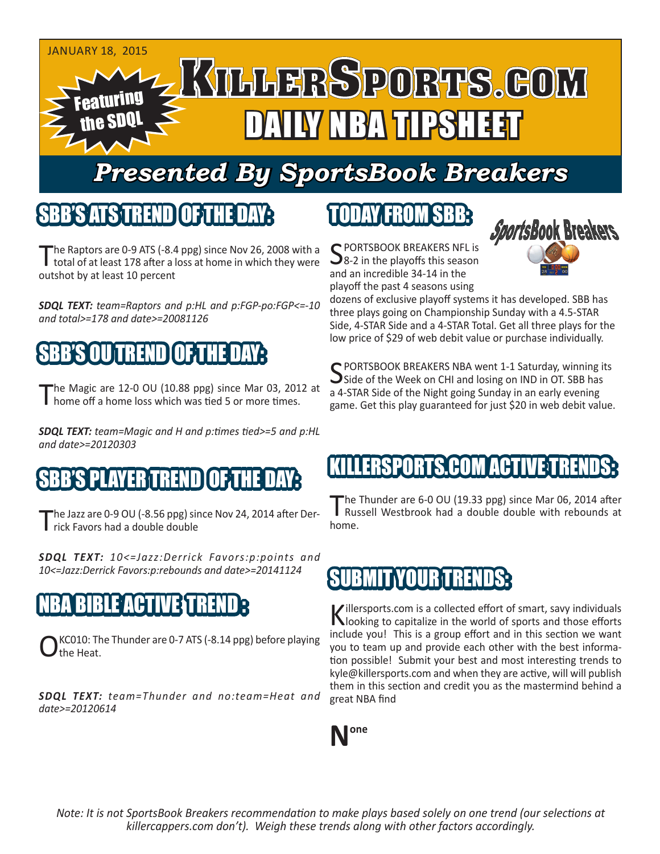

## *Presented By SportsBook Breakers*

#### SBB'S ATS TREN

The Raptors are 0-9 ATS (-8.4 ppg) since Nov 26, 2008 with a total of at least 178 after a loss at home in which they were outshot by at least 10 percent

*SDQL TEXT: team=Raptors and p:HL and p:FGP-po:FGP<=-10 and total>=178 and date>=20081126*

## SBB'S OU TREND OF THE DAY:

he Magic are 12-0 OU (10.88 ppg) since Mar 03, 2012 at I home off a home loss which was tied 5 or more times.

*SDQL TEXT: team=Magic and H and p:times tied>=5 and p:HL and date>=20120303*

### S PLAYER TREND

'he Jazz are 0-9 OU (-8.56 ppg) since Nov 24, 2014 after Derrick Favors had a double double

*SDQL TEXT: 10<=Jazz:Derrick Favors:p:points and 10<=Jazz:Derrick Favors:p:rebounds and date>=20141124*

## NBA BIBLE ACTIVE TREND :

KC010: The Thunder are 0-7 ATS (-8.14 ppg) before playing the Heat.

*SDQL TEXT: team=Thunder and no:team=Heat and date>=20120614*

## TODAY FROM SBB:

C PORTSBOOK BREAKERS NFL is  $\mathbf{\sum}$ 8-2 in the playoffs this season and an incredible 34-14 in the playoff the past 4 seasons using



dozens of exclusive playoff systems it has developed. SBB has three plays going on Championship Sunday with a 4.5-STAR Side, 4-STAR Side and a 4-STAR Total. Get all three plays for the low price of \$29 of web debit value or purchase individually.

C PORTSBOOK BREAKERS NBA went 1-1 Saturday, winning its Side of the Week on CHI and losing on IND in OT. SBB has a 4-STAR Side of the Night going Sunday in an early evening game. Get this play guaranteed for just \$20 in web debit value.

#### LLERSPORTS.COM ACT

The Thunder are 6-0 OU (19.33 ppg) since Mar 06, 2014 after Russell Westbrook had a double double with rebounds at home.

#### SUBMIT YOU

Killersports.com is a collected effort of smart, savy individuals<br>Nooking to capitalize in the world of sports and those efforts include you! This is a group effort and in this section we want you to team up and provide each other with the best information possible! Submit your best and most interesting trends to kyle@killersports.com and when they are active, will will publish them in this section and credit you as the mastermind behind a great NBA find



*Note: It is not SportsBook Breakers recommendation to make plays based solely on one trend (our selections at killercappers.com don't). Weigh these trends along with other factors accordingly.*